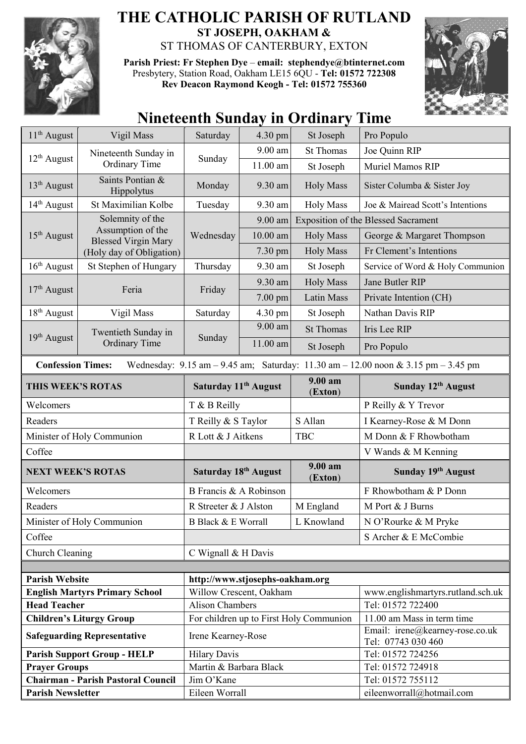

## **THE CATHOLIC PARISH OF RUTLAND ST JOSEPH, OAKHAM &**  ST THOMAS OF CANTERBURY, EXTON

**Parish Priest: Fr Stephen Dye** – **[email: stephendye@btinternet.com](mailto:email:%20%20stephendye@btinternet.com)** Presbytery, Station Road, Oakham LE15 6QU - **Tel: 01572 722308 Rev Deacon Raymond Keogh - Tel: 01572 755360**



## **Nineteenth Sunday in Ordinary Time**

| $11th$ August                                                                                                                                                       | Vigil Mass                                                                                      | Saturday                                          | 4.30 pm    | St Joseph          | Pro Populo                                             |  |
|---------------------------------------------------------------------------------------------------------------------------------------------------------------------|-------------------------------------------------------------------------------------------------|---------------------------------------------------|------------|--------------------|--------------------------------------------------------|--|
| $12th$ August                                                                                                                                                       | Nineteenth Sunday in<br><b>Ordinary Time</b>                                                    | Sunday                                            | $9.00$ am  | <b>St Thomas</b>   | Joe Quinn RIP                                          |  |
|                                                                                                                                                                     |                                                                                                 |                                                   | $11.00$ am | St Joseph          | Muriel Mamos RIP                                       |  |
| $13th$ August                                                                                                                                                       | Saints Pontian &<br>Hippolytus                                                                  | Monday                                            | 9.30 am    | <b>Holy Mass</b>   | Sister Columba & Sister Joy                            |  |
| $14th$ August                                                                                                                                                       | St Maximilian Kolbe                                                                             | Tuesday                                           | 9.30 am    | <b>Holy Mass</b>   | Joe & Mairead Scott's Intentions                       |  |
| $15th$ August                                                                                                                                                       | Solemnity of the<br>Assumption of the<br><b>Blessed Virgin Mary</b><br>(Holy day of Obligation) | Wednesday                                         | $9.00$ am  |                    | <b>Exposition of the Blessed Sacrament</b>             |  |
|                                                                                                                                                                     |                                                                                                 |                                                   | $10.00$ am | <b>Holy Mass</b>   | George & Margaret Thompson                             |  |
|                                                                                                                                                                     |                                                                                                 |                                                   | 7.30 pm    | <b>Holy Mass</b>   | Fr Clement's Intentions                                |  |
| $16th$ August                                                                                                                                                       | St Stephen of Hungary                                                                           | Thursday                                          | 9.30 am    | St Joseph          | Service of Word & Holy Communion                       |  |
| $17th$ August                                                                                                                                                       | Feria                                                                                           | Friday                                            | 9.30 am    | <b>Holy Mass</b>   | Jane Butler RIP                                        |  |
|                                                                                                                                                                     |                                                                                                 |                                                   | $7.00$ pm  | <b>Latin Mass</b>  | Private Intention (CH)                                 |  |
| $18th$ August                                                                                                                                                       | Vigil Mass                                                                                      | Saturday                                          | 4.30 pm    | St Joseph          | Nathan Davis RIP                                       |  |
| 19 <sup>th</sup> August                                                                                                                                             | Twentieth Sunday in<br><b>Ordinary Time</b>                                                     | Sunday                                            | 9.00 am    | <b>St Thomas</b>   | Iris Lee RIP                                           |  |
|                                                                                                                                                                     |                                                                                                 |                                                   | $11.00$ am | St Joseph          | Pro Populo                                             |  |
| <b>Confession Times:</b><br>Wednesday: $9.15 \text{ am} - 9.45 \text{ am}$ ; Saturday: $11.30 \text{ am} - 12.00 \text{ noon} \& 3.15 \text{ pm} - 3.45 \text{ pm}$ |                                                                                                 |                                                   |            |                    |                                                        |  |
| THIS WEEK'S ROTAS                                                                                                                                                   |                                                                                                 | Saturday 11 <sup>th</sup> August                  |            | 9.00 am<br>(Exton) | Sunday 12th August                                     |  |
| Welcomers                                                                                                                                                           |                                                                                                 | T & B Reilly                                      |            |                    | P Reilly & Y Trevor                                    |  |
| Readers                                                                                                                                                             |                                                                                                 | T Reilly & S Taylor                               |            | S Allan            | I Kearney-Rose & M Donn                                |  |
| Minister of Holy Communion                                                                                                                                          |                                                                                                 | R Lott & J Aitkens                                |            | <b>TBC</b>         | M Donn & F Rhowbotham                                  |  |
| Coffee                                                                                                                                                              |                                                                                                 |                                                   |            |                    | V Wands & M Kenning                                    |  |
| <b>NEXT WEEK'S ROTAS</b>                                                                                                                                            |                                                                                                 | Saturday 18 <sup>th</sup> August                  |            | 9.00 am<br>(Exton) | Sunday 19th August                                     |  |
| Welcomers                                                                                                                                                           |                                                                                                 | B Francis & A Robinson                            |            |                    | F Rhowbotham & P Donn                                  |  |
| Readers                                                                                                                                                             |                                                                                                 | R Streeter & J Alston                             |            | M England          | M Port & J Burns                                       |  |
| Minister of Holy Communion                                                                                                                                          |                                                                                                 | L Knowland<br>B Black & E Worrall                 |            |                    | N O'Rourke & M Pryke                                   |  |
| Coffee                                                                                                                                                              |                                                                                                 |                                                   |            |                    | S Archer & E McCombie                                  |  |
| Church Cleaning                                                                                                                                                     |                                                                                                 | C Wignall & H Davis                               |            |                    |                                                        |  |
|                                                                                                                                                                     |                                                                                                 |                                                   |            |                    |                                                        |  |
| <b>Parish Website</b>                                                                                                                                               |                                                                                                 | http://www.stjosephs-oakham.org                   |            |                    |                                                        |  |
| <b>English Martyrs Primary School</b><br><b>Head Teacher</b>                                                                                                        |                                                                                                 | Willow Crescent, Oakham<br><b>Alison Chambers</b> |            |                    | www.englishmartyrs.rutland.sch.uk<br>Tel: 01572 722400 |  |
| <b>Children's Liturgy Group</b>                                                                                                                                     |                                                                                                 | For children up to First Holy Communion           |            |                    | 11.00 am Mass in term time                             |  |
| <b>Safeguarding Representative</b>                                                                                                                                  |                                                                                                 | Irene Kearney-Rose                                |            |                    | Email: irene@kearney-rose.co.uk<br>Tel: 07743 030 460  |  |
| <b>Parish Support Group - HELP</b>                                                                                                                                  |                                                                                                 | <b>Hilary Davis</b>                               |            |                    | Tel: 01572 724256                                      |  |
| <b>Prayer Groups</b>                                                                                                                                                |                                                                                                 | Martin & Barbara Black                            |            |                    | Tel: 01572 724918                                      |  |
| <b>Chairman - Parish Pastoral Council</b>                                                                                                                           |                                                                                                 | Jim O'Kane                                        |            |                    | Tel: 01572 755112                                      |  |
| <b>Parish Newsletter</b>                                                                                                                                            |                                                                                                 | Eileen Worrall                                    |            |                    | eileenworrall@hotmail.com                              |  |